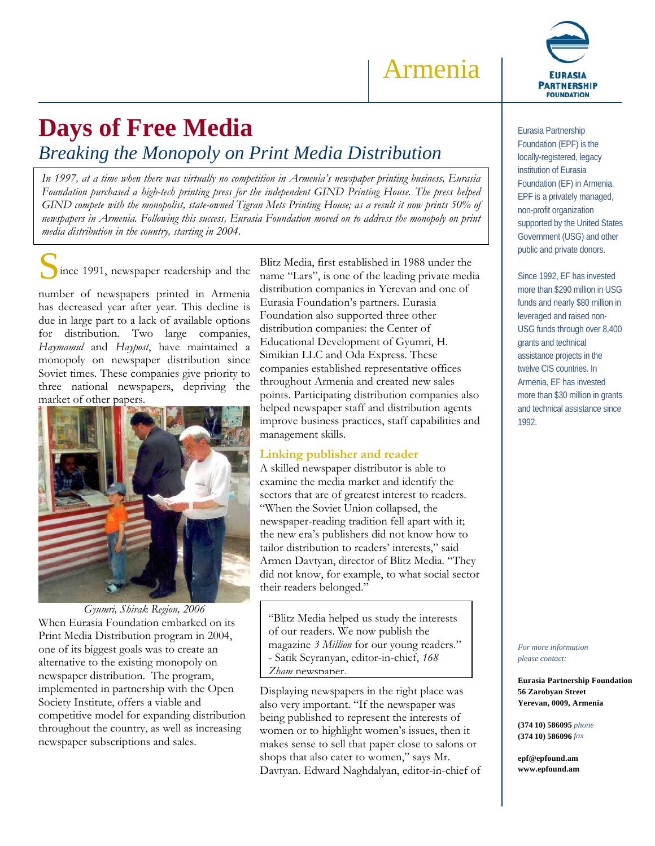Armenia

# **Days of Free Media**

*Breaking the Monopoly on Print Media Distribution* 

*In 1997, at a time when there was virtually no competition in Armenia's newspaper printing business, Eurasia Foundation purchased a high-tech printing press for the independent GIND Printing House. The press helped GIND compete with the monopolist, state-owned Tigran Mets Printing House; as a result it now prints 50% of newspapers in Armenia. Following this success, Eurasia Foundation moved on to address the monopoly on print media distribution in the country, starting in 2004.* 

ince 1991, newspaper readership and the

number of newspapers printed in Armenia has decreased year after year. This decline is due in large part to a lack of available options for distribution*.* Two large companies, *Haymamul* and *Haypost*, have maintained a monopoly on newspaper distribution since Soviet times. These companies give priority to three national newspapers, depriving the market of other papers.



*Gyumri, Shirak Region, 2006*  When Eurasia Foundation embarked on its Print Media Distribution program in 2004, one of its biggest goals was to create an alternative to the existing monopoly on newspaper distribution. The program, implemented in partnership with the Open Society Institute, offers a viable and competitive model for expanding distribution throughout the country, as well as increasing newspaper subscriptions and sales.

Blitz Media, first established in 1988 under the name "Lars", is one of the leading private media distribution companies in Yerevan and one of Eurasia Foundation's partners. Eurasia Foundation also supported three other distribution companies: the Center of Educational Development of Gyumri, H. Simikian LLC and Oda Express. These companies established representative offices throughout Armenia and created new sales points. Participating distribution companies also helped newspaper staff and distribution agents improve business practices, staff capabilities and management skills.

# **Linking publisher and reader**

A skilled newspaper distributor is able to examine the media market and identify the sectors that are of greatest interest to readers. "When the Soviet Union collapsed, the newspaper-reading tradition fell apart with it; the new era's publishers did not know how to tailor distribution to readers' interests," said Armen Davtyan, director of Blitz Media. "They did not know, for example, to what social sector their readers belonged."

"Blitz Media helped us study the interests of our readers. We now publish the magazine *3 Million* for our young readers." - Satik Seyranyan, editor-in-chief, *168 Zham* newspaper.

Displaying newspapers in the right place was also very important. "If the newspaper was being published to represent the interests of women or to highlight women's issues, then it makes sense to sell that paper close to salons or shops that also cater to women," says Mr. Davtyan. Edward Naghdalyan, editor-in-chief of



Eurasia Partnership Foundation (EPF) is the locally-registered, legacy institution of Eurasia Foundation (EF) in Armenia. EPF is a privately managed, non-profit organization supported by the United States Government (USG) and other public and private donors.

Since 1992, EF has invested more than \$290 million in USG funds and nearly \$80 million in leveraged and raised non-USG funds through over 8,400 grants and technical assistance projects in the twelve CIS countries. In Armenia, EF has invested more than \$30 million in grants and technical assistance since 1992.

*For more information please contact:* 

**Eurasia Partnership Foundation 56 Zarobyan Street Yerevan, 0009, Armenia** 

**(374 10) 586095** *phone*  **(374 10) 586096** *fax*

**epf@epfound.am www.epfound.am**